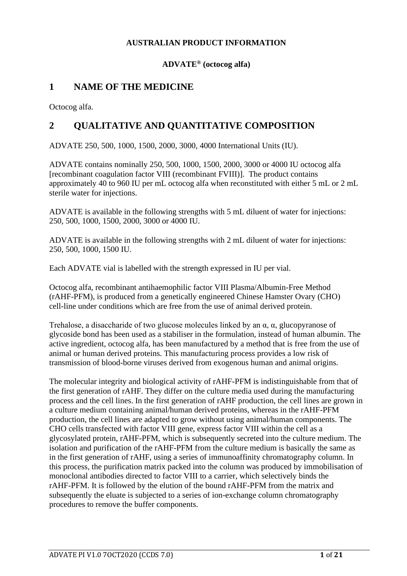## **AUSTRALIAN PRODUCT INFORMATION**

## **ADVATE® (octocog alfa)**

## **1 NAME OF THE MEDICINE**

Octocog alfa.

## **2 QUALITATIVE AND QUANTITATIVE COMPOSITION**

ADVATE 250, 500, 1000, 1500, 2000, 3000, 4000 International Units (IU).

ADVATE contains nominally 250, 500, 1000, 1500, 2000, 3000 or 4000 IU octocog alfa [recombinant coagulation factor VIII (recombinant FVIII)]. The product contains approximately 40 to 960 IU per mL octocog alfa when reconstituted with either 5 mL or 2 mL sterile water for injections.

ADVATE is available in the following strengths with 5 mL diluent of water for injections: 250, 500, 1000, 1500, 2000, 3000 or 4000 IU.

ADVATE is available in the following strengths with 2 mL diluent of water for injections: 250, 500, 1000, 1500 IU.

Each ADVATE vial is labelled with the strength expressed in IU per vial.

Octocog alfa, recombinant antihaemophilic factor VIII Plasma/Albumin-Free Method (rAHF-PFM), is produced from a genetically engineered Chinese Hamster Ovary (CHO) cell-line under conditions which are free from the use of animal derived protein.

Trehalose, a disaccharide of two glucose molecules linked by an  $\alpha$ ,  $\alpha$ , glucopyranose of glycoside bond has been used as a stabiliser in the formulation, instead of human albumin. The active ingredient, octocog alfa, has been manufactured by a method that is free from the use of animal or human derived proteins. This manufacturing process provides a low risk of transmission of blood-borne viruses derived from exogenous human and animal origins.

The molecular integrity and biological activity of rAHF-PFM is indistinguishable from that of the first generation of rAHF. They differ on the culture media used during the manufacturing process and the cell lines. In the first generation of rAHF production, the cell lines are grown in a culture medium containing animal/human derived proteins, whereas in the rAHF-PFM production, the cell lines are adapted to grow without using animal/human components. The CHO cells transfected with factor VIII gene, express factor VIII within the cell as a glycosylated protein, rAHF-PFM, which is subsequently secreted into the culture medium. The isolation and purification of the rAHF-PFM from the culture medium is basically the same as in the first generation of rAHF, using a series of immunoaffinity chromatography column. In this process, the purification matrix packed into the column was produced by immobilisation of monoclonal antibodies directed to factor VIII to a carrier, which selectively binds the rAHF-PFM. It is followed by the elution of the bound rAHF-PFM from the matrix and subsequently the eluate is subjected to a series of ion-exchange column chromatography procedures to remove the buffer components.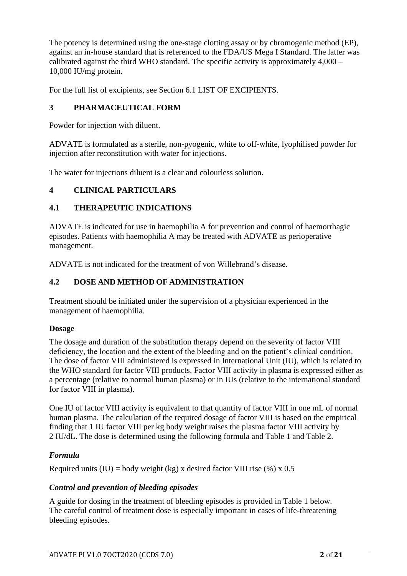The potency is determined using the one-stage clotting assay or by chromogenic method (EP), against an in-house standard that is referenced to the FDA/US Mega I Standard. The latter was calibrated against the third WHO standard. The specific activity is approximately 4,000 – 10,000 IU/mg protein.

For the full list of excipients, see Section 6.1 LIST OF EXCIPIENTS.

### **3 PHARMACEUTICAL FORM**

Powder for injection with diluent.

ADVATE is formulated as a sterile, non-pyogenic, white to off-white, lyophilised powder for injection after reconstitution with water for injections.

The water for injections diluent is a clear and colourless solution.

#### **4 CLINICAL PARTICULARS**

### **4.1 THERAPEUTIC INDICATIONS**

ADVATE is indicated for use in haemophilia A for prevention and control of haemorrhagic episodes. Patients with haemophilia A may be treated with ADVATE as perioperative management.

ADVATE is not indicated for the treatment of von Willebrand's disease.

### **4.2 DOSE AND METHOD OF ADMINISTRATION**

Treatment should be initiated under the supervision of a physician experienced in the management of haemophilia.

#### **Dosage**

The dosage and duration of the substitution therapy depend on the severity of factor VIII deficiency, the location and the extent of the bleeding and on the patient's clinical condition. The dose of factor VIII administered is expressed in International Unit (IU), which is related to the WHO standard for factor VIII products. Factor VIII activity in plasma is expressed either as a percentage (relative to normal human plasma) or in IUs (relative to the international standard for factor VIII in plasma).

One IU of factor VIII activity is equivalent to that quantity of factor VIII in one mL of normal human plasma. The calculation of the required dosage of factor VIII is based on the empirical finding that 1 IU factor VIII per kg body weight raises the plasma factor VIII activity by 2 IU/dL. The dose is determined using the following formula and [Table 1](#page-2-0) and [Table 2.](#page-2-1)

#### *Formula*

Required units (IU) = body weight (kg) x desired factor VIII rise (%) x 0.5

#### *Control and prevention of bleeding episodes*

A guide for dosing in the treatment of bleeding episodes is provided in [Table 1](#page-2-0) below. The careful control of treatment dose is especially important in cases of life-threatening bleeding episodes.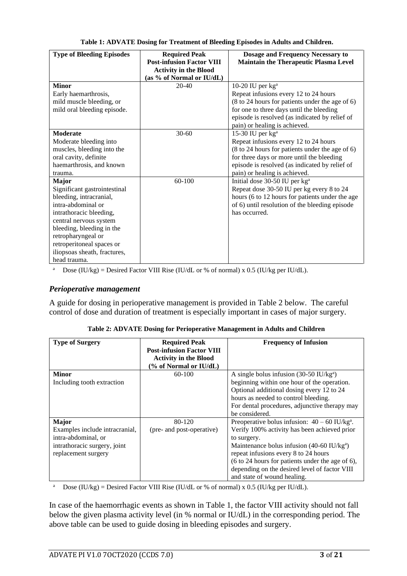<span id="page-2-0"></span>

| <b>Type of Bleeding Episodes</b> | <b>Required Peak</b>             | Dosage and Frequency Necessary to               |
|----------------------------------|----------------------------------|-------------------------------------------------|
|                                  | <b>Post-infusion Factor VIII</b> | <b>Maintain the Therapeutic Plasma Level</b>    |
|                                  | <b>Activity in the Blood</b>     |                                                 |
|                                  | (as % of Normal or IU/dL)        |                                                 |
| <b>Minor</b>                     | $20 - 40$                        | 10-20 IU per $kga$                              |
| Early haemarthrosis,             |                                  | Repeat infusions every 12 to 24 hours           |
| mild muscle bleeding, or         |                                  | (8 to 24 hours for patients under the age of 6) |
| mild oral bleeding episode.      |                                  | for one to three days until the bleeding        |
|                                  |                                  | episode is resolved (as indicated by relief of  |
|                                  |                                  | pain) or healing is achieved.                   |
| <b>Moderate</b>                  | $30 - 60$                        | 15-30 IU per kg <sup>a</sup>                    |
| Moderate bleeding into           |                                  | Repeat infusions every 12 to 24 hours           |
| muscles, bleeding into the       |                                  | (8 to 24 hours for patients under the age of 6) |
| oral cavity, definite            |                                  | for three days or more until the bleeding       |
| haemarthrosis, and known         |                                  | episode is resolved (as indicated by relief of  |
| trauma.                          |                                  | pain) or healing is achieved.                   |
| <b>Major</b>                     | 60-100                           | Initial dose 30-50 IU per kg <sup>a</sup>       |
| Significant gastrointestinal     |                                  | Repeat dose 30-50 IU per kg every 8 to 24       |
| bleeding, intracranial,          |                                  | hours (6 to 12 hours for patients under the age |
| intra-abdominal or               |                                  | of 6) until resolution of the bleeding episode  |
| intrathoracic bleeding,          |                                  | has occurred.                                   |
| central nervous system           |                                  |                                                 |
| bleeding, bleeding in the        |                                  |                                                 |
| retropharyngeal or               |                                  |                                                 |
| retroperitoneal spaces or        |                                  |                                                 |
| iliopsoas sheath, fractures,     |                                  |                                                 |
| head trauma.                     |                                  |                                                 |

**Table 1: ADVATE Dosing for Treatment of Bleeding Episodes in Adults and Children.**

<sup>a</sup> Dose (IU/kg) = Desired Factor VIII Rise (IU/dL or % of normal) x 0.5 (IU/kg per IU/dL).

#### *Perioperative management*

<span id="page-2-1"></span>A guide for dosing in perioperative management is provided in [Table 2](#page-2-1) below. The careful control of dose and duration of treatment is especially important in cases of major surgery.

| <b>Type of Surgery</b>         | <b>Required Peak</b>             | <b>Frequency of Infusion</b>                                |
|--------------------------------|----------------------------------|-------------------------------------------------------------|
|                                | <b>Post-infusion Factor VIII</b> |                                                             |
|                                | <b>Activity in the Blood</b>     |                                                             |
|                                | (% of Normal or IU/dL)           |                                                             |
| <b>Minor</b>                   | $60-100$                         | A single bolus infusion $(30-50 \text{ IU/kg}^{\text{a}})$  |
| Including tooth extraction     |                                  | beginning within one hour of the operation.                 |
|                                |                                  | Optional additional dosing every 12 to 24                   |
|                                |                                  | hours as needed to control bleeding.                        |
|                                |                                  | For dental procedures, adjunctive therapy may               |
|                                |                                  | be considered.                                              |
| <b>Major</b>                   | 80-120                           | Preoperative bolus infusion: $40 - 60$ IU/kg <sup>a</sup> . |
| Examples include intracranial, | (pre- and post-operative)        | Verify 100% activity has been achieved prior                |
| intra-abdominal, or            |                                  | to surgery.                                                 |
| intrathoracic surgery, joint   |                                  | Maintenance bolus infusion $(40-60 \text{ IU/kg}^a)$        |
| replacement surgery            |                                  | repeat infusions every 8 to 24 hours                        |
|                                |                                  | (6 to 24 hours for patients under the age of 6),            |
|                                |                                  | depending on the desired level of factor VIII               |
|                                |                                  | and state of wound healing.                                 |

| Table 2: ADVATE Dosing for Perioperative Management in Adults and Children |  |  |
|----------------------------------------------------------------------------|--|--|
|                                                                            |  |  |

<sup>a</sup> Dose (IU/kg) = Desired Factor VIII Rise (IU/dL or % of normal) x 0.5 (IU/kg per IU/dL).

In case of the haemorrhagic events as shown in [Table 1,](#page-2-0) the factor VIII activity should not fall below the given plasma activity level (in % normal or IU/dL) in the corresponding period. The above table can be used to guide dosing in bleeding episodes and surgery.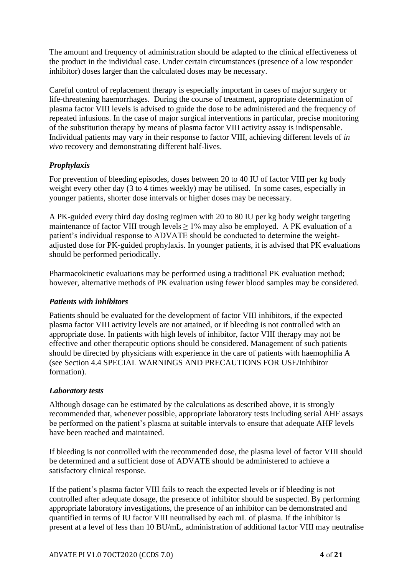The amount and frequency of administration should be adapted to the clinical effectiveness of the product in the individual case. Under certain circumstances (presence of a low responder inhibitor) doses larger than the calculated doses may be necessary.

Careful control of replacement therapy is especially important in cases of major surgery or life-threatening haemorrhages. During the course of treatment, appropriate determination of plasma factor VIII levels is advised to guide the dose to be administered and the frequency of repeated infusions. In the case of major surgical interventions in particular, precise monitoring of the substitution therapy by means of plasma factor VIII activity assay is indispensable. Individual patients may vary in their response to factor VIII, achieving different levels of *in vivo* recovery and demonstrating different half-lives.

## *Prophylaxis*

For prevention of bleeding episodes, doses between 20 to 40 IU of factor VIII per kg body weight every other day (3 to 4 times weekly) may be utilised. In some cases, especially in younger patients, shorter dose intervals or higher doses may be necessary.

A PK-guided every third day dosing regimen with 20 to 80 IU per kg body weight targeting maintenance of factor VIII trough levels  $\geq$  1% may also be employed. A PK evaluation of a patient's individual response to ADVATE should be conducted to determine the weightadjusted dose for PK-guided prophylaxis. In younger patients, it is advised that PK evaluations should be performed periodically.

Pharmacokinetic evaluations may be performed using a traditional PK evaluation method; however, alternative methods of PK evaluation using fewer blood samples may be considered.

## *Patients with inhibitors*

Patients should be evaluated for the development of factor VIII inhibitors, if the expected plasma factor VIII activity levels are not attained, or if bleeding is not controlled with an appropriate dose. In patients with high levels of inhibitor, factor VIII therapy may not be effective and other therapeutic options should be considered. Management of such patients should be directed by physicians with experience in the care of patients with haemophilia A (see Section 4.4 SPECIAL WARNINGS AND PRECAUTIONS FOR USE/Inhibitor formation).

## *Laboratory tests*

Although dosage can be estimated by the calculations as described above, it is strongly recommended that, whenever possible, appropriate laboratory tests including serial AHF assays be performed on the patient's plasma at suitable intervals to ensure that adequate AHF levels have been reached and maintained.

If bleeding is not controlled with the recommended dose, the plasma level of factor VIII should be determined and a sufficient dose of ADVATE should be administered to achieve a satisfactory clinical response.

If the patient's plasma factor VIII fails to reach the expected levels or if bleeding is not controlled after adequate dosage, the presence of inhibitor should be suspected. By performing appropriate laboratory investigations, the presence of an inhibitor can be demonstrated and quantified in terms of IU factor VIII neutralised by each mL of plasma. If the inhibitor is present at a level of less than 10 BU/mL, administration of additional factor VIII may neutralise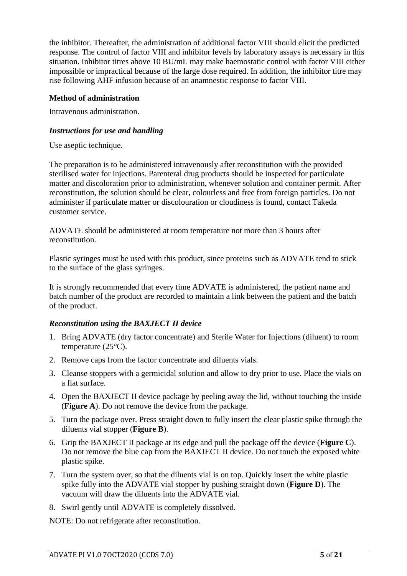the inhibitor. Thereafter, the administration of additional factor VIII should elicit the predicted response. The control of factor VIII and inhibitor levels by laboratory assays is necessary in this situation. Inhibitor titres above 10 BU/mL may make haemostatic control with factor VIII either impossible or impractical because of the large dose required. In addition, the inhibitor titre may rise following AHF infusion because of an anamnestic response to factor VIII.

### **Method of administration**

Intravenous administration.

### *Instructions for use and handling*

Use aseptic technique.

The preparation is to be administered intravenously after reconstitution with the provided sterilised water for injections. Parenteral drug products should be inspected for particulate matter and discoloration prior to administration, whenever solution and container permit. After reconstitution, the solution should be clear, colourless and free from foreign particles. Do not administer if particulate matter or discolouration or cloudiness is found, contact Takeda customer service.

ADVATE should be administered at room temperature not more than 3 hours after reconstitution.

Plastic syringes must be used with this product, since proteins such as ADVATE tend to stick to the surface of the glass syringes.

It is strongly recommended that every time ADVATE is administered, the patient name and batch number of the product are recorded to maintain a link between the patient and the batch of the product.

## *Reconstitution using the BAXJECT II device*

- 1. Bring ADVATE (dry factor concentrate) and Sterile Water for Injections (diluent) to room temperature (25°C).
- 2. Remove caps from the factor concentrate and diluents vials.
- 3. Cleanse stoppers with a germicidal solution and allow to dry prior to use. Place the vials on a flat surface.
- 4. Open the BAXJECT II device package by peeling away the lid, without touching the inside (**Figure A**). Do not remove the device from the package.
- 5. Turn the package over. Press straight down to fully insert the clear plastic spike through the diluents vial stopper (**Figure B**).
- 6. Grip the BAXJECT II package at its edge and pull the package off the device (**Figure C**). Do not remove the blue cap from the BAXJECT II device. Do not touch the exposed white plastic spike.
- 7. Turn the system over, so that the diluents vial is on top. Quickly insert the white plastic spike fully into the ADVATE vial stopper by pushing straight down (**Figure D**). The vacuum will draw the diluents into the ADVATE vial.
- 8. Swirl gently until ADVATE is completely dissolved.

NOTE: Do not refrigerate after reconstitution.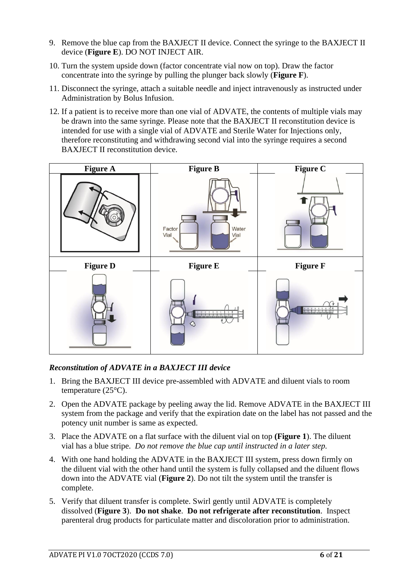- 9. Remove the blue cap from the BAXJECT II device. Connect the syringe to the BAXJECT II device (**Figure E**). DO NOT INJECT AIR.
- 10. Turn the system upside down (factor concentrate vial now on top). Draw the factor concentrate into the syringe by pulling the plunger back slowly (**Figure F**).
- 11. Disconnect the syringe, attach a suitable needle and inject intravenously as instructed under Administration by Bolus Infusion.
- 12. If a patient is to receive more than one vial of ADVATE, the contents of multiple vials may be drawn into the same syringe. Please note that the BAXJECT II reconstitution device is intended for use with a single vial of ADVATE and Sterile Water for Injections only, therefore reconstituting and withdrawing second vial into the syringe requires a second BAXJECT II reconstitution device.



## *Reconstitution of ADVATE in a BAXJECT III device*

- 1. Bring the BAXJECT III device pre-assembled with ADVATE and diluent vials to room temperature (25°C).
- 2. Open the ADVATE package by peeling away the lid. Remove ADVATE in the BAXJECT III system from the package and verify that the expiration date on the label has not passed and the potency unit number is same as expected.
- 3. Place the ADVATE on a flat surface with the diluent vial on top **(Figure 1**). The diluent vial has a blue stripe. *Do not remove the blue cap until instructed in a later step.*
- 4. With one hand holding the ADVATE in the BAXJECT III system, press down firmly on the diluent vial with the other hand until the system is fully collapsed and the diluent flows down into the ADVATE vial (**Figure 2**). Do not tilt the system until the transfer is complete.
- 5. Verify that diluent transfer is complete. Swirl gently until ADVATE is completely dissolved (**Figure 3**). **Do not shake**. **Do not refrigerate after reconstitution**. Inspect parenteral drug products for particulate matter and discoloration prior to administration.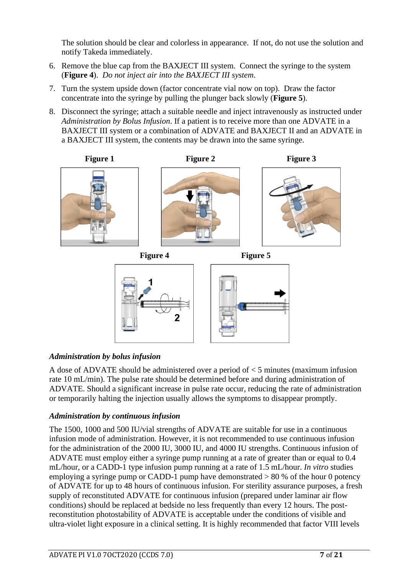The solution should be clear and colorless in appearance. If not, do not use the solution and notify Takeda immediately.

- 6. Remove the blue cap from the BAXJECT III system. Connect the syringe to the system (**Figure 4**). *Do not inject air into the BAXJECT III system*.
- 7. Turn the system upside down (factor concentrate vial now on top). Draw the factor concentrate into the syringe by pulling the plunger back slowly (**Figure 5**).
- 8. Disconnect the syringe; attach a suitable needle and inject intravenously as instructed under *Administration by Bolus Infusion*. If a patient is to receive more than one ADVATE in a BAXJECT III system or a combination of ADVATE and BAXJECT II and an ADVATE in a BAXJECT III system, the contents may be drawn into the same syringe.







## *Administration by bolus infusion*

A dose of ADVATE should be administered over a period of < 5 minutes (maximum infusion rate 10 mL/min). The pulse rate should be determined before and during administration of ADVATE. Should a significant increase in pulse rate occur, reducing the rate of administration or temporarily halting the injection usually allows the symptoms to disappear promptly.

#### *Administration by continuous infusion*

The 1500, 1000 and 500 IU/vial strengths of ADVATE are suitable for use in a continuous infusion mode of administration. However, it is not recommended to use continuous infusion for the administration of the 2000 IU, 3000 IU, and 4000 IU strengths. Continuous infusion of ADVATE must employ either a syringe pump running at a rate of greater than or equal to 0.4 mL/hour, or a CADD-1 type infusion pump running at a rate of 1.5 mL/hour. *In vitro* studies employing a syringe pump or CADD-1 pump have demonstrated  $> 80\%$  of the hour 0 potency of ADVATE for up to 48 hours of continuous infusion. For sterility assurance purposes, a fresh supply of reconstituted ADVATE for continuous infusion (prepared under laminar air flow conditions) should be replaced at bedside no less frequently than every 12 hours. The postreconstitution photostability of ADVATE is acceptable under the conditions of visible and ultra-violet light exposure in a clinical setting. It is highly recommended that factor VIII levels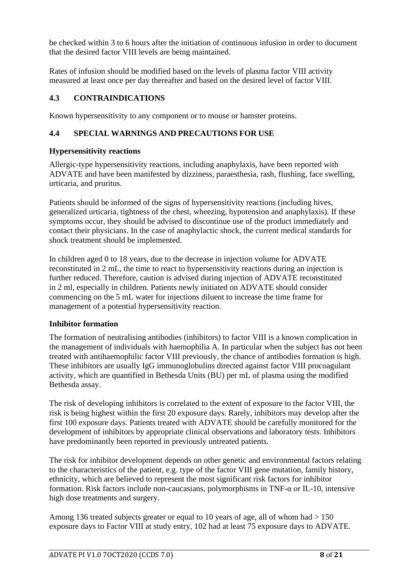be checked within 3 to 6 hours after the initiation of continuous infusion in order to document that the desired factor VIII levels are being maintained.

Rates of infusion should be modified based on the levels of plasma factor VIII activity measured at least once per day thereafter and based on the desired level of factor VIII.

## **4.3 CONTRAINDICATIONS**

Known hypersensitivity to any component or to mouse or hamster proteins.

## **4.4 SPECIAL WARNINGS AND PRECAUTIONS FOR USE**

#### **Hypersensitivity reactions**

Allergic-type hypersensitivity reactions, including anaphylaxis, have been reported with ADVATE and have been manifested by dizziness, paraesthesia, rash, flushing, face swelling, urticaria, and pruritus.

Patients should be informed of the signs of hypersensitivity reactions (including hives, generalized urticaria, tightness of the chest, wheezing, hypotension and anaphylaxis). If these symptoms occur, they should be advised to discontinue use of the product immediately and contact their physicians. In the case of anaphylactic shock, the current medical standards for shock treatment should be implemented.

In children aged 0 to 18 years, due to the decrease in injection volume for ADVATE reconstituted in 2 mL, the time to react to hypersensitivity reactions during an injection is further reduced. Therefore, caution is advised during injection of ADVATE reconstituted in 2 ml, especially in children. Patients newly initiated on ADVATE should consider commencing on the 5 mL water for injections diluent to increase the time frame for management of a potential hypersensitivity reaction.

## **Inhibitor formation**

The formation of neutralising antibodies (inhibitors) to factor VIII is a known complication in the management of individuals with haemophilia A. In particular when the subject has not been treated with antihaemophilic factor VIII previously, the chance of antibodies formation is high. These inhibitors are usually IgG immunoglobulins directed against factor VIII procoagulant activity, which are quantified in Bethesda Units (BU) per mL of plasma using the modified Bethesda assay.

The risk of developing inhibitors is correlated to the extent of exposure to the factor VIII, the risk is being highest within the first 20 exposure days. Rarely, inhibitors may develop after the first 100 exposure days. Patients treated with ADVATE should be carefully monitored for the development of inhibitors by appropriate clinical observations and laboratory tests. Inhibitors have predominantly been reported in previously untreated patients.

The risk for inhibitor development depends on other genetic and environmental factors relating to the characteristics of the patient, e.g. type of the factor VIII gene mutation, family history, ethnicity, which are believed to represent the most significant risk factors for inhibitor formation. Risk factors include non-caucasians, polymorphisms in TNF-α or IL-10, intensive high dose treatments and surgery.

Among 136 treated subjects greater or equal to 10 years of age, all of whom had  $> 150$ exposure days to Factor VIII at study entry, 102 had at least 75 exposure days to ADVATE.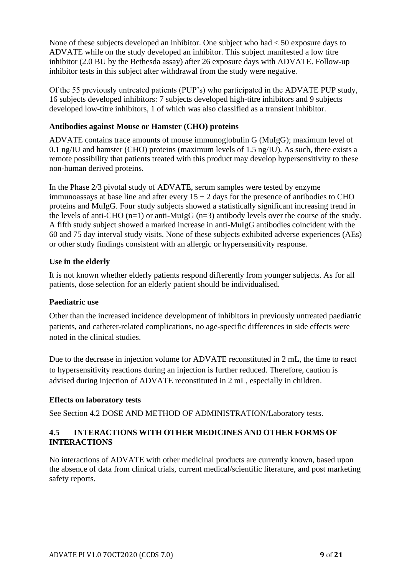None of these subjects developed an inhibitor. One subject who had < 50 exposure days to ADVATE while on the study developed an inhibitor. This subject manifested a low titre inhibitor (2.0 BU by the Bethesda assay) after 26 exposure days with ADVATE. Follow-up inhibitor tests in this subject after withdrawal from the study were negative.

Of the 55 previously untreated patients (PUP's) who participated in the ADVATE PUP study, 16 subjects developed inhibitors: 7 subjects developed high-titre inhibitors and 9 subjects developed low-titre inhibitors, 1 of which was also classified as a transient inhibitor.

### **Antibodies against Mouse or Hamster (CHO) proteins**

ADVATE contains trace amounts of mouse immunoglobulin G (MuIgG); maximum level of 0.1 ng/IU and hamster (CHO) proteins (maximum levels of 1.5 ng/IU). As such, there exists a remote possibility that patients treated with this product may develop hypersensitivity to these non-human derived proteins.

In the Phase 2/3 pivotal study of ADVATE, serum samples were tested by enzyme immunoassays at base line and after every  $15 \pm 2$  days for the presence of antibodies to CHO proteins and MuIgG. Four study subjects showed a statistically significant increasing trend in the levels of anti-CHO  $(n=1)$  or anti-MuIgG  $(n=3)$  antibody levels over the course of the study. A fifth study subject showed a marked increase in anti-MuIgG antibodies coincident with the 60 and 75 day interval study visits. None of these subjects exhibited adverse experiences (AEs) or other study findings consistent with an allergic or hypersensitivity response.

#### **Use in the elderly**

It is not known whether elderly patients respond differently from younger subjects. As for all patients, dose selection for an elderly patient should be individualised.

#### **Paediatric use**

Other than the increased incidence development of inhibitors in previously untreated paediatric patients, and catheter-related complications, no age-specific differences in side effects were noted in the clinical studies.

Due to the decrease in injection volume for ADVATE reconstituted in 2 mL, the time to react to hypersensitivity reactions during an injection is further reduced. Therefore, caution is advised during injection of ADVATE reconstituted in 2 mL, especially in children.

## **Effects on laboratory tests**

See Section 4.2 DOSE AND METHOD OF ADMINISTRATION/Laboratory tests.

### **4.5 INTERACTIONS WITH OTHER MEDICINES AND OTHER FORMS OF INTERACTIONS**

No interactions of ADVATE with other medicinal products are currently known, based upon the absence of data from clinical trials, current medical/scientific literature, and post marketing safety reports.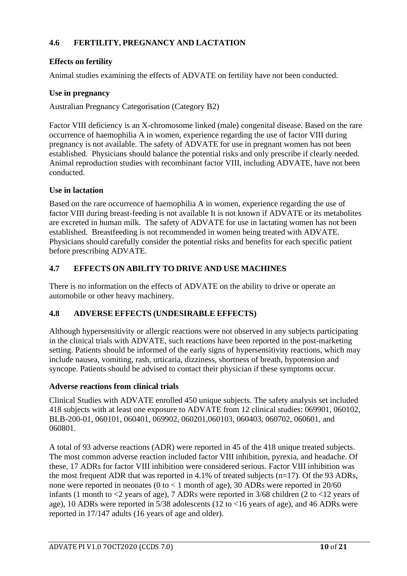## **4.6 FERTILITY, PREGNANCY AND LACTATION**

## **Effects on fertility**

Animal studies examining the effects of ADVATE on fertility have not been conducted.

#### **Use in pregnancy**

Australian Pregnancy Categorisation (Category B2)

Factor VIII deficiency is an X-chromosome linked (male) congenital disease. Based on the rare occurrence of haemophilia A in women, experience regarding the use of factor VIII during pregnancy is not available. The safety of ADVATE for use in pregnant women has not been established. Physicians should balance the potential risks and only prescribe if clearly needed. Animal reproduction studies with recombinant factor VIII, including ADVATE, have not been conducted.

#### **Use in lactation**

Based on the rare occurrence of haemophilia A in women, experience regarding the use of factor VIII during breast-feeding is not available It is not known if ADVATE or its metabolites are excreted in human milk. The safety of ADVATE for use in lactating women has not been established. Breastfeeding is not recommended in women being treated with ADVATE. Physicians should carefully consider the potential risks and benefits for each specific patient before prescribing ADVATE.

### **4.7 EFFECTS ON ABILITY TO DRIVE AND USE MACHINES**

There is no information on the effects of ADVATE on the ability to drive or operate an automobile or other heavy machinery.

#### **4.8 ADVERSE EFFECTS (UNDESIRABLE EFFECTS)**

Although hypersensitivity or allergic reactions were not observed in any subjects participating in the clinical trials with ADVATE, such reactions have been reported in the post-marketing setting. Patients should be informed of the early signs of hypersensitivity reactions, which may include nausea, vomiting, rash, urticaria, dizziness, shortness of breath, hypotension and syncope. Patients should be advised to contact their physician if these symptoms occur.

#### **Adverse reactions from clinical trials**

Clinical Studies with ADVATE enrolled 450 unique subjects. The safety analysis set included 418 subjects with at least one exposure to ADVATE from 12 clinical studies: 069901, 060102, BLB-200-01, 060101, 060401, 069902, 060201,060103, 060403, 060702, 060601, and 060801.

A total of 93 adverse reactions (ADR) were reported in 45 of the 418 unique treated subjects. The most common adverse reaction included factor VIII inhibition, pyrexia, and headache. Of these, 17 ADRs for factor VIII inhibition were considered serious. Factor VIII inhibition was the most frequent ADR that was reported in 4.1% of treated subjects  $(n=17)$ . Of the 93 ADRs, none were reported in neonates (0 to  $<$  1 month of age), 30 ADRs were reported in 20/60 infants (1 month to  $\langle 2 \rangle$  years of age), 7 ADRs were reported in 3/68 children (2 to  $\langle 12 \rangle$  years of age), 10 ADRs were reported in 5/38 adolescents (12 to <16 years of age), and 46 ADRs were reported in 17/147 adults (16 years of age and older).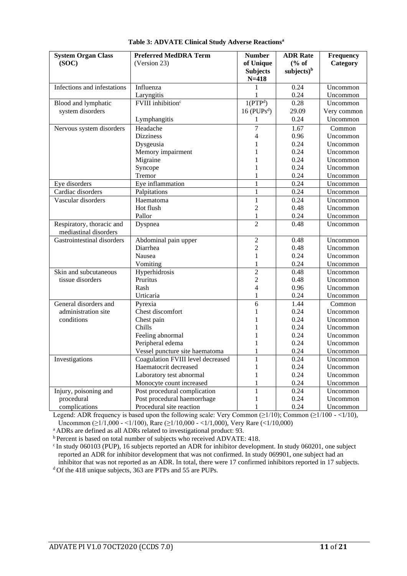| <b>System Organ Class</b>                          | <b>Preferred MedDRA Term</b>      | <b>Number</b>             | <b>ADR</b> Rate | <b>Frequency</b> |
|----------------------------------------------------|-----------------------------------|---------------------------|-----------------|------------------|
| (SOC)                                              | (Version 23)                      | of Unique                 | % of            | Category         |
|                                                    |                                   | <b>Subjects</b>           | subjects $)^b$  |                  |
|                                                    |                                   | $N = 418$                 |                 |                  |
| Infections and infestations                        | Influenza                         | 1                         | 0.24            | Uncommon         |
|                                                    | Laryngitis                        | 1                         | 0.24            | Uncommon         |
| Blood and lymphatic                                | FVIII inhibition <sup>c</sup>     | 1(PTP <sup>d</sup> )      | 0.28            | Uncommon         |
| system disorders                                   |                                   | $16$ (PUPs <sup>d</sup> ) | 29.09           | Very common      |
|                                                    | Lymphangitis                      | 1                         | 0.24            | Uncommon         |
| Nervous system disorders                           | Headache                          | 7                         | 1.67            | Common           |
|                                                    | <b>Dizziness</b>                  | 4                         | 0.96            | Uncommon         |
|                                                    | Dysgeusia                         | 1                         | 0.24            | Uncommon         |
|                                                    | Memory impairment                 |                           | 0.24            | Uncommon         |
|                                                    | Migraine                          |                           | 0.24            | Uncommon         |
|                                                    | Syncope                           |                           | 0.24            | Uncommon         |
|                                                    | Tremor                            | 1                         | 0.24            | Uncommon         |
| Eye disorders                                      | Eye inflammation                  | $\mathbf{1}$              | 0.24            | Uncommon         |
| Cardiac disorders                                  | Palpitations                      | $\mathbf{1}$              | 0.24            | Uncommon         |
| Vascular disorders                                 | Haematoma                         | $\mathbf{1}$              | 0.24            | Uncommon         |
|                                                    | Hot flush                         | $\overline{2}$            | 0.48            | Uncommon         |
|                                                    | Pallor                            | $\mathbf{1}$              | 0.24            | Uncommon         |
| Respiratory, thoracic and<br>mediastinal disorders | Dyspnea                           | $\overline{2}$            | 0.48            | Uncommon         |
| Gastrointestinal disorders                         | Abdominal pain upper              | $\overline{c}$            | 0.48            | Uncommon         |
|                                                    | Diarrhea                          | $\overline{2}$            | 0.48            | Uncommon         |
|                                                    | Nausea                            | $\mathbf{1}$              | 0.24            | Uncommon         |
|                                                    | Vomiting                          | 1                         | 0.24            | Uncommon         |
| Skin and subcutaneous                              | Hyperhidrosis                     | $\overline{2}$            | 0.48            | Uncommon         |
| tissue disorders                                   | Pruritus                          | $\sqrt{2}$                | 0.48            | Uncommon         |
|                                                    | Rash                              | $\overline{4}$            | 0.96            | Uncommon         |
|                                                    | Urticaria                         | 1                         | 0.24            | Uncommon         |
| General disorders and                              | Pyrexia                           | 6                         | 1.44            | Common           |
| administration site                                | Chest discomfort                  | 1                         | 0.24            | Uncommon         |
| conditions                                         | Chest pain                        |                           | 0.24            | Uncommon         |
|                                                    | Chills                            |                           | 0.24            | Uncommon         |
|                                                    | Feeling abnormal                  |                           | 0.24            | Uncommon         |
|                                                    | Peripheral edema                  |                           | 0.24            | Uncommon         |
|                                                    | Vessel puncture site haematoma    | 1                         | 0.24            | Uncommon         |
| Investigations                                     | Coagulation FVIII level decreased | 1                         | 0.24            | Uncommon         |
|                                                    | Haematocrit decreased             | 1                         | 0.24            | Uncommon         |
|                                                    | Laboratory test abnormal          | 1                         | 0.24            | Uncommon         |
|                                                    | Monocyte count increased          | 1                         | 0.24            | Uncommon         |
| Injury, poisoning and                              | Post procedural complication      | $\mathbf{1}$              | 0.24            | Uncommon         |
| procedural                                         | Post procedural haemorrhage       | 1                         | 0.24            | Uncommon         |
| complications                                      | Procedural site reaction          | $\mathbf{1}$              | 0.24            | Uncommon         |

#### **Table 3: ADVATE Clinical Study Adverse Reactions<sup>a</sup>**

Legend: ADR frequency is based upon the following scale: Very Common (≥1/10); Common (≥1/100 - <1/10), Uncommon (≥1/1,000 - <1/100), Rare (≥1/10,000 - <1/1,000), Very Rare (<1/10,000)

<sup>a</sup> ADRs are defined as all ADRs related to investigational product: 93.

b Percent is based on total number of subjects who received ADVATE: 418.

 $\cdot$  In study 060103 (PUP), 16 subjects reported an ADR for inhibitor development. In study 060201, one subject reported an ADR for inhibitor development that was not confirmed. In study 069901, one subject had an inhibitor that was not reported as an ADR. In total, there were 17 confirmed inhibitors reported in 17 subjects.

<sup>d</sup> Of the 418 unique subjects, 363 are PTPs and 55 are PUPs.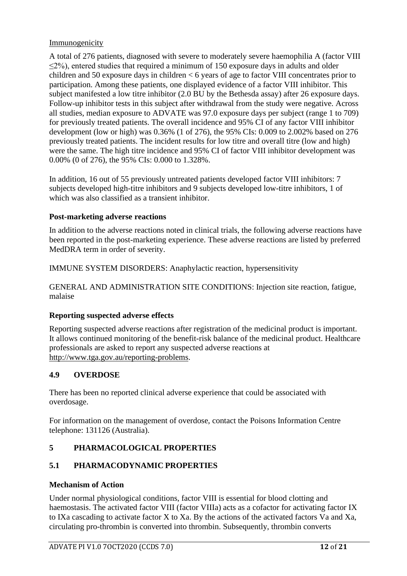## Immunogenicity

A total of 276 patients, diagnosed with severe to moderately severe haemophilia A (factor VIII  $\leq$ 2%), entered studies that required a minimum of 150 exposure days in adults and older children and 50 exposure days in children < 6 years of age to factor VIII concentrates prior to participation. Among these patients, one displayed evidence of a factor VIII inhibitor. This subject manifested a low titre inhibitor (2.0 BU by the Bethesda assay) after 26 exposure days. Follow-up inhibitor tests in this subject after withdrawal from the study were negative. Across all studies, median exposure to ADVATE was 97.0 exposure days per subject (range 1 to 709) for previously treated patients. The overall incidence and 95% CI of any factor VIII inhibitor development (low or high) was 0.36% (1 of 276), the 95% CIs: 0.009 to 2.002% based on 276 previously treated patients. The incident results for low titre and overall titre (low and high) were the same. The high titre incidence and 95% CI of factor VIII inhibitor development was 0.00% (0 of 276), the 95% CIs: 0.000 to 1.328%.

In addition, 16 out of 55 previously untreated patients developed factor VIII inhibitors: 7 subjects developed high-titre inhibitors and 9 subjects developed low-titre inhibitors, 1 of which was also classified as a transient inhibitor.

## **Post-marketing adverse reactions**

In addition to the adverse reactions noted in clinical trials, the following adverse reactions have been reported in the post-marketing experience. These adverse reactions are listed by preferred MedDRA term in order of severity.

IMMUNE SYSTEM DISORDERS: Anaphylactic reaction, hypersensitivity

GENERAL AND ADMINISTRATION SITE CONDITIONS: Injection site reaction, fatigue, malaise

## **Reporting suspected adverse effects**

Reporting suspected adverse reactions after registration of the medicinal product is important. It allows continued monitoring of the benefit-risk balance of the medicinal product. Healthcare professionals are asked to report any suspected adverse reactions at [http://www.tga.gov.au/reporting-problems.](http://www.tga.gov.au/reporting-problems)

## **4.9 OVERDOSE**

There has been no reported clinical adverse experience that could be associated with overdosage.

For information on the management of overdose, contact the Poisons Information Centre telephone: 131126 (Australia).

## **5 PHARMACOLOGICAL PROPERTIES**

## **5.1 PHARMACODYNAMIC PROPERTIES**

#### **Mechanism of Action**

Under normal physiological conditions, factor VIII is essential for blood clotting and haemostasis. The activated factor VIII (factor VIIIa) acts as a cofactor for activating factor IX to IXa cascading to activate factor X to Xa. By the actions of the activated factors Va and Xa, circulating pro-thrombin is converted into thrombin. Subsequently, thrombin converts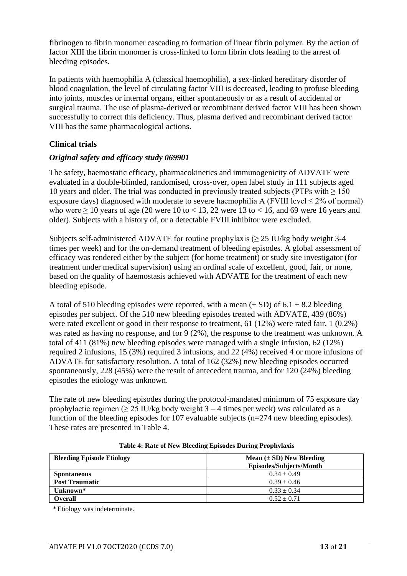fibrinogen to fibrin monomer cascading to formation of linear fibrin polymer. By the action of factor XIII the fibrin monomer is cross-linked to form fibrin clots leading to the arrest of bleeding episodes.

In patients with haemophilia A (classical haemophilia), a sex-linked hereditary disorder of blood coagulation, the level of circulating factor VIII is decreased, leading to profuse bleeding into joints, muscles or internal organs, either spontaneously or as a result of accidental or surgical trauma. The use of plasma-derived or recombinant derived factor VIII has been shown successfully to correct this deficiency. Thus, plasma derived and recombinant derived factor VIII has the same pharmacological actions.

## **Clinical trials**

## *Original safety and efficacy study 069901*

The safety, haemostatic efficacy, pharmacokinetics and immunogenicity of ADVATE were evaluated in a double-blinded, randomised, cross-over, open label study in 111 subjects aged 10 years and older. The trial was conducted in previously treated subjects (PTPs with  $> 150$ ) exposure days) diagnosed with moderate to severe haemophilia A (FVIII level  $\leq 2\%$  of normal) who were  $\geq 10$  years of age (20 were 10 to < 13, 22 were 13 to < 16, and 69 were 16 years and older). Subjects with a history of, or a detectable FVIII inhibitor were excluded.

Subjects self-administered ADVATE for routine prophylaxis ( $\geq$  25 IU/kg body weight 3-4 times per week) and for the on-demand treatment of bleeding episodes. A global assessment of efficacy was rendered either by the subject (for home treatment) or study site investigator (for treatment under medical supervision) using an ordinal scale of excellent, good, fair, or none, based on the quality of haemostasis achieved with ADVATE for the treatment of each new bleeding episode.

A total of 510 bleeding episodes were reported, with a mean  $(\pm SD)$  of 6.1  $\pm 8.2$  bleeding episodes per subject. Of the 510 new bleeding episodes treated with ADVATE, 439 (86%) were rated excellent or good in their response to treatment, 61 (12%) were rated fair, 1 (0.2%) was rated as having no response, and for 9 (2%), the response to the treatment was unknown. A total of 411 (81%) new bleeding episodes were managed with a single infusion, 62 (12%) required 2 infusions, 15 (3%) required 3 infusions, and 22 (4%) received 4 or more infusions of ADVATE for satisfactory resolution. A total of 162 (32%) new bleeding episodes occurred spontaneously, 228 (45%) were the result of antecedent trauma, and for 120 (24%) bleeding episodes the etiology was unknown.

The rate of new bleeding episodes during the protocol-mandated minimum of 75 exposure day prophylactic regimen ( $> 25$  IU/kg body weight 3 – 4 times per week) was calculated as a function of the bleeding episodes for 107 evaluable subjects ( $n=274$  new bleeding episodes). These rates are presented in [Table 4.](#page-12-0)

<span id="page-12-0"></span>

| <b>Bleeding Episode Etiology</b> | Mean $(\pm SD)$ New Bleeding<br>Episodes/Subjects/Month |
|----------------------------------|---------------------------------------------------------|
| <b>Spontaneous</b>               | $0.34 \pm 0.49$                                         |
| <b>Post Traumatic</b>            | $0.39 \pm 0.46$                                         |
| Unknown*                         | $0.33 \pm 0.34$                                         |
| Overall                          | $0.52 \pm 0.71$                                         |

#### **Table 4: Rate of New Bleeding Episodes During Prophylaxis**

\* Etiology was indeterminate.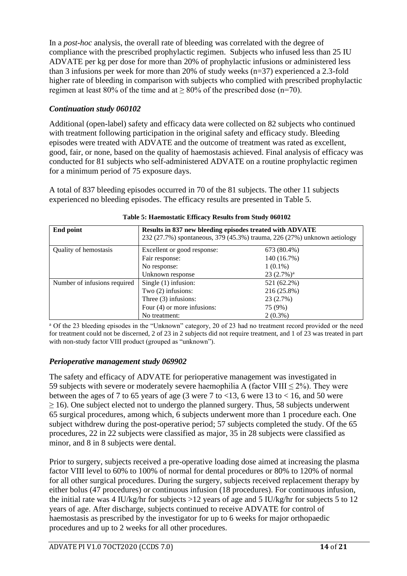In a *post-hoc* analysis, the overall rate of bleeding was correlated with the degree of compliance with the prescribed prophylactic regimen. Subjects who infused less than 25 IU ADVATE per kg per dose for more than 20% of prophylactic infusions or administered less than 3 infusions per week for more than 20% of study weeks (n=37) experienced a 2.3-fold higher rate of bleeding in comparison with subjects who complied with prescribed prophylactic regimen at least 80% of the time and at  $\geq$  80% of the prescribed dose (n=70).

## *Continuation study 060102*

Additional (open-label) safety and efficacy data were collected on 82 subjects who continued with treatment following participation in the original safety and efficacy study. Bleeding episodes were treated with ADVATE and the outcome of treatment was rated as excellent, good, fair, or none, based on the quality of haemostasis achieved. Final analysis of efficacy was conducted for 81 subjects who self-administered ADVATE on a routine prophylactic regimen for a minimum period of 75 exposure days.

A total of 837 bleeding episodes occurred in 70 of the 81 subjects. The other 11 subjects experienced no bleeding episodes. The efficacy results are presented in [Table 5.](#page-13-0)

<span id="page-13-0"></span>

| End point                    | Results in 837 new bleeding episodes treated with ADVATE<br>232 (27.7%) spontaneous, 379 (45.3%) trauma, 226 (27%) unknown aetiology |               |  |  |
|------------------------------|--------------------------------------------------------------------------------------------------------------------------------------|---------------|--|--|
| Quality of hemostasis        | Excellent or good response:                                                                                                          | 673 (80.4%)   |  |  |
|                              | Fair response:                                                                                                                       | 140 (16.7%)   |  |  |
|                              | No response:                                                                                                                         | $1(0.1\%)$    |  |  |
|                              | Unknown response                                                                                                                     | $23(2.7\%)^a$ |  |  |
| Number of infusions required | Single $(1)$ infusion:                                                                                                               | 521 (62.2%)   |  |  |
|                              | Two $(2)$ infusions:                                                                                                                 | 216 (25.8%)   |  |  |
|                              | Three $(3)$ infusions:                                                                                                               | 23 (2.7%)     |  |  |
|                              | Four (4) or more infusions:                                                                                                          | 75 (9%)       |  |  |
|                              | No treatment:                                                                                                                        | $2(0.3\%)$    |  |  |

**Table 5: Haemostatic Efficacy Results from Study 060102**

<sup>a</sup> Of the 23 bleeding episodes in the "Unknown" category, 20 of 23 had no treatment record provided or the need for treatment could not be discerned, 2 of 23 in 2 subjects did not require treatment, and 1 of 23 was treated in part with non-study factor VIII product (grouped as "unknown").

## *Perioperative management study 069902*

The safety and efficacy of ADVATE for perioperative management was investigated in 59 subjects with severe or moderately severe haemophilia A (factor VIII  $\leq$  2%). They were between the ages of 7 to 65 years of age (3 were 7 to  $< 13$ , 6 were 13 to  $< 16$ , and 50 were ≥ 16). One subject elected not to undergo the planned surgery. Thus, 58 subjects underwent 65 surgical procedures, among which, 6 subjects underwent more than 1 procedure each. One subject withdrew during the post-operative period; 57 subjects completed the study. Of the 65 procedures, 22 in 22 subjects were classified as major, 35 in 28 subjects were classified as minor, and 8 in 8 subjects were dental.

Prior to surgery, subjects received a pre-operative loading dose aimed at increasing the plasma factor VIII level to 60% to 100% of normal for dental procedures or 80% to 120% of normal for all other surgical procedures. During the surgery, subjects received replacement therapy by either bolus (47 procedures) or continuous infusion (18 procedures). For continuous infusion, the initial rate was 4 IU/kg/hr for subjects  $>12$  years of age and 5 IU/kg/hr for subjects 5 to 12 years of age. After discharge, subjects continued to receive ADVATE for control of haemostasis as prescribed by the investigator for up to 6 weeks for major orthopaedic procedures and up to 2 weeks for all other procedures.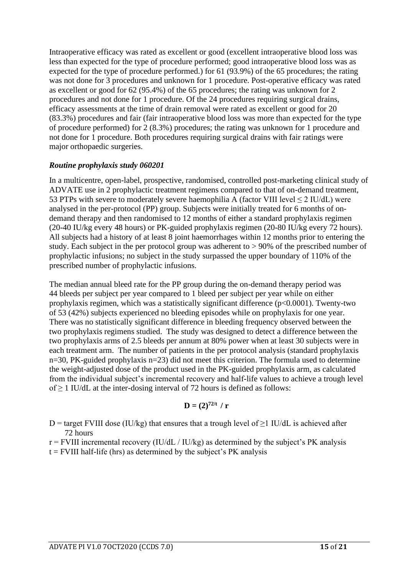Intraoperative efficacy was rated as excellent or good (excellent intraoperative blood loss was less than expected for the type of procedure performed; good intraoperative blood loss was as expected for the type of procedure performed.) for 61 (93.9%) of the 65 procedures; the rating was not done for 3 procedures and unknown for 1 procedure. Post-operative efficacy was rated as excellent or good for 62 (95.4%) of the 65 procedures; the rating was unknown for 2 procedures and not done for 1 procedure. Of the 24 procedures requiring surgical drains, efficacy assessments at the time of drain removal were rated as excellent or good for 20 (83.3%) procedures and fair (fair intraoperative blood loss was more than expected for the type of procedure performed) for 2 (8.3%) procedures; the rating was unknown for 1 procedure and not done for 1 procedure. Both procedures requiring surgical drains with fair ratings were major orthopaedic surgeries.

### *Routine prophylaxis study 060201*

In a multicentre, open-label, prospective, randomised, controlled post-marketing clinical study of ADVATE use in 2 prophylactic treatment regimens compared to that of on-demand treatment, 53 PTPs with severe to moderately severe haemophilia A (factor VIII level < 2 IU/dL) were analysed in the per-protocol (PP) group. Subjects were initially treated for 6 months of ondemand therapy and then randomised to 12 months of either a standard prophylaxis regimen (20-40 IU/kg every 48 hours) or PK-guided prophylaxis regimen (20-80 IU/kg every 72 hours). All subjects had a history of at least 8 joint haemorrhages within 12 months prior to entering the study. Each subject in the per protocol group was adherent to > 90% of the prescribed number of prophylactic infusions; no subject in the study surpassed the upper boundary of 110% of the prescribed number of prophylactic infusions.

The median annual bleed rate for the PP group during the on-demand therapy period was 44 bleeds per subject per year compared to 1 bleed per subject per year while on either prophylaxis regimen, which was a statistically significant difference  $(p<0.0001)$ . Twenty-two of 53 (42%) subjects experienced no bleeding episodes while on prophylaxis for one year. There was no statistically significant difference in bleeding frequency observed between the two prophylaxis regimens studied. The study was designed to detect a difference between the two prophylaxis arms of 2.5 bleeds per annum at 80% power when at least 30 subjects were in each treatment arm. The number of patients in the per protocol analysis (standard prophylaxis n=30, PK-guided prophylaxis n=23) did not meet this criterion. The formula used to determine the weight-adjusted dose of the product used in the PK-guided prophylaxis arm, as calculated from the individual subject's incremental recovery and half-life values to achieve a trough level of  $\geq$  1 IU/dL at the inter-dosing interval of 72 hours is defined as follows:

$$
\mathbf{D}=(2)^{72/t} / \mathbf{r}
$$

D = target FVIII dose (IU/kg) that ensures that a trough level of  $>1$  IU/dL is achieved after 72 hours

 $r = FVIII$  incremental recovery (IU/dL / IU/kg) as determined by the subject's PK analysis

 $t = FVIII$  half-life (hrs) as determined by the subject's PK analysis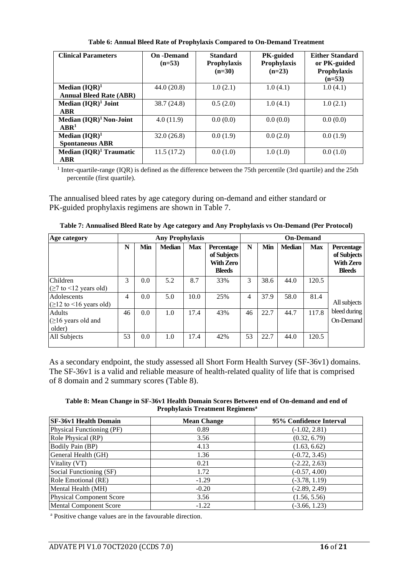| <b>Clinical Parameters</b>          | <b>On</b> -Demand<br>$(n=53)$ | <b>Standard</b><br><b>Prophylaxis</b><br>$(n=30)$ | <b>PK-guided</b><br>Prophylaxis<br>$(n=23)$ | <b>Either Standard</b><br>or PK-guided<br>Prophylaxis<br>$(n=53)$ |
|-------------------------------------|-------------------------------|---------------------------------------------------|---------------------------------------------|-------------------------------------------------------------------|
| Median $(IQR)^1$                    | 44.0(20.8)                    | 1.0(2.1)                                          | 1.0(4.1)                                    | 1.0(4.1)                                                          |
| <b>Annual Bleed Rate (ABR)</b>      |                               |                                                   |                                             |                                                                   |
| Median $(IQR)^1$ Joint              | 38.7(24.8)                    | 0.5(2.0)                                          | 1.0(4.1)                                    | 1.0(2.1)                                                          |
| ABR                                 |                               |                                                   |                                             |                                                                   |
| Median (IQR) <sup>1</sup> Non-Joint | 4.0(11.9)                     | 0.0(0.0)                                          | 0.0(0.0)                                    | 0.0(0.0)                                                          |
| ARR <sup>1</sup>                    |                               |                                                   |                                             |                                                                   |
| Median $(IQR)^1$                    | 32.0(26.8)                    | 0.0(1.9)                                          | 0.0(2.0)                                    | 0.0(1.9)                                                          |
| <b>Spontaneous ABR</b>              |                               |                                                   |                                             |                                                                   |
| Median $(IQR)^1$ Traumatic          | 11.5(17.2)                    | 0.0(1.0)                                          | 1.0(1.0)                                    | 0.0(1.0)                                                          |
| <b>ABR</b>                          |                               |                                                   |                                             |                                                                   |

**Table 6: Annual Bleed Rate of Prophylaxis Compared to On-Demand Treatment**

<sup>1</sup> Inter-quartile-range (IQR) is defined as the difference between the 75th percentile (3rd quartile) and the 25th percentile (first quartile).

The annualised bleed rates by age category during on-demand and either standard or PK-guided prophylaxis regimens are shown in [Table 7.](#page-15-0)

<span id="page-15-0"></span>

| Age category                                                                  |    |     | <b>Any Prophylaxis</b> |            |                                                                       |    |      | <b>On-Demand</b> |            |                                                                |
|-------------------------------------------------------------------------------|----|-----|------------------------|------------|-----------------------------------------------------------------------|----|------|------------------|------------|----------------------------------------------------------------|
|                                                                               | N  | Min | <b>Median</b>          | <b>Max</b> | <b>Percentage</b><br>of Subjects<br><b>With Zero</b><br><b>Bleeds</b> | N  | Min  | <b>Median</b>    | <b>Max</b> | Percentage<br>of Subjects<br><b>With Zero</b><br><b>Bleeds</b> |
| Children<br>$(\geq 7$ to <12 years old)                                       | 3  | 0.0 | 5.2                    | 8.7        | 33%                                                                   | 3  | 38.6 | 44.0             | 120.5      |                                                                |
| Adolescents<br>$\left( \geq 12 \text{ to } \leq 16 \text{ years old} \right)$ | 4  | 0.0 | 5.0                    | 10.0       | 25%                                                                   | 4  | 37.9 | 58.0             | 81.4       | All subjects                                                   |
| Adults<br>$\geq 16$ years old and<br>older)                                   | 46 | 0.0 | 1.0                    | 17.4       | 43%                                                                   | 46 | 22.7 | 44.7             | 117.8      | bleed during<br><b>On-Demand</b>                               |
| All Subjects                                                                  | 53 | 0.0 | 1.0                    | 17.4       | 42%                                                                   | 53 | 22.7 | 44.0             | 120.5      |                                                                |

**Table 7: Annualised Bleed Rate by Age category and Any Prophylaxis vs On-Demand (Per Protocol)**

As a secondary endpoint, the study assessed all Short Form Health Survey (SF-36v1) domains. The SF-36v1 is a valid and reliable measure of health-related quality of life that is comprised of 8 domain and 2 summary scores [\(Table 8\)](#page-15-1).

<span id="page-15-1"></span>**Table 8: Mean Change in SF-36v1 Health Domain Scores Between end of On-demand and end of Prophylaxis Treatment Regimens<sup>a</sup>**

| SF-36v1 Health Domain           | <b>Mean Change</b> | 95% Confidence Interval |
|---------------------------------|--------------------|-------------------------|
| Physical Functioning (PF)       | 0.89               | $(-1.02, 2.81)$         |
| Role Physical (RP)              | 3.56               | (0.32, 6.79)            |
| <b>Bodily Pain (BP)</b>         | 4.13               | (1.63, 6.62)            |
| General Health (GH)             | 1.36               | $(-0.72, 3.45)$         |
| Vitality (VT)                   | 0.21               | $(-2.22, 2.63)$         |
| Social Functioning (SF)         | 1.72               | $(-0.57, 4.00)$         |
| Role Emotional (RE)             | $-1.29$            | $(-3.78, 1.19)$         |
| Mental Health (MH)              | $-0.20$            | $(-2.89, 2.49)$         |
| <b>Physical Component Score</b> | 3.56               | (1.56, 5.56)            |
| <b>Mental Component Score</b>   | $-1.22$            | $(-3.66, 1.23)$         |

<sup>a</sup> Positive change values are in the favourable direction.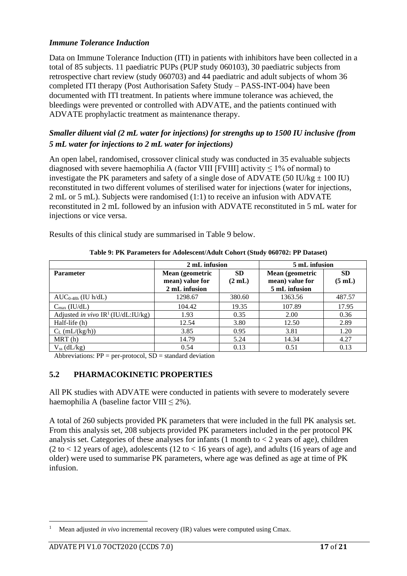### *Immune Tolerance Induction*

Data on Immune Tolerance Induction (ITI) in patients with inhibitors have been collected in a total of 85 subjects. 11 paediatric PUPs (PUP study 060103), 30 paediatric subjects from retrospective chart review (study 060703) and 44 paediatric and adult subjects of whom 36 completed ITI therapy (Post Authorisation Safety Study – PASS-INT-004) have been documented with ITI treatment. In patients where immune tolerance was achieved, the bleedings were prevented or controlled with ADVATE, and the patients continued with ADVATE prophylactic treatment as maintenance therapy.

## *Smaller diluent vial (2 mL water for injections) for strengths up to 1500 IU inclusive (from 5 mL water for injections to 2 mL water for injections)*

An open label, randomised, crossover clinical study was conducted in 35 evaluable subjects diagnosed with severe haemophilia A (factor VIII [FVIII] activity  $\leq$  1% of normal) to investigate the PK parameters and safety of a single dose of ADVATE (50 IU/kg  $\pm$  100 IU) reconstituted in two different volumes of sterilised water for injections (water for injections, 2 mL or 5 mL). Subjects were randomised (1:1) to receive an infusion with ADVATE reconstituted in 2 mL followed by an infusion with ADVATE reconstituted in 5 mL water for injections or vice versa.

Results of this clinical study are summarised in [Table 9](#page-16-0) below.

<span id="page-16-0"></span>

|                                       | 2 mL infusion                                       |                     | 5 mL infusion                                       |                     |  |
|---------------------------------------|-----------------------------------------------------|---------------------|-----------------------------------------------------|---------------------|--|
| <b>Parameter</b>                      | Mean (geometric<br>mean) value for<br>2 mL infusion | <b>SD</b><br>(2 mL) | Mean (geometric<br>mean) value for<br>5 mL infusion | <b>SD</b><br>(5 mL) |  |
| $AUC_{0-48h}$ (IU h/dL)               | 1298.67                                             | 380.60              | 1363.56                                             | 487.57              |  |
| $C_{\text{max}}$ (IU/dL)              | 104.42                                              | 19.35               | 107.89                                              | 17.95               |  |
| Adjusted in vivo $IR^1$ (IU/dL:IU/kg) | 1.93                                                | 0.35                | 2.00                                                | 0.36                |  |
| Half-life (h)                         | 12.54                                               | 3.80                | 12.50                                               | 2.89                |  |
| $C_L$ (mL/(kg/h))                     | 3.85                                                | 0.95                | 3.81                                                | 1.20                |  |
| MRT(h)                                | 14.79                                               | 5.24                | 14.34                                               | 4.27                |  |
| $V_{ss}$ (dL/kg)                      | 0.54                                                | 0.13                | 0.51                                                | 0.13                |  |

**Table 9: PK Parameters for Adolescent/Adult Cohort (Study 060702: PP Dataset)**

Abbreviations:  $PP = per-protocol$ ,  $SD = standard deviation$ 

#### **5.2 PHARMACOKINETIC PROPERTIES**

All PK studies with ADVATE were conducted in patients with severe to moderately severe haemophilia A (baseline factor VIII  $\leq 2\%$ ).

A total of 260 subjects provided PK parameters that were included in the full PK analysis set. From this analysis set, 208 subjects provided PK parameters included in the per protocol PK analysis set. Categories of these analyses for infants  $(1 \text{ month to} < 2 \text{ years of age})$ , children  $(2 \text{ to } < 12 \text{ years of age})$ , adolescents  $(12 \text{ to } < 16 \text{ years of age})$ , and adults  $(16 \text{ years of age and } )$ older) were used to summarise PK parameters, where age was defined as age at time of PK infusion.

<sup>1</sup> Mean adjusted *in vivo* incremental recovery (IR) values were computed using Cmax.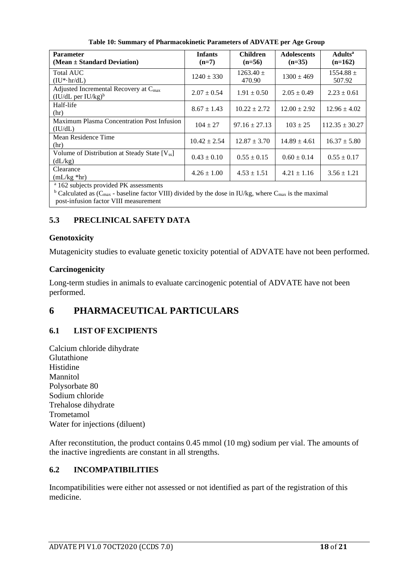| <b>Parameter</b><br>$(Mean \pm Standard Deviation)$                           | <b>Infants</b><br>$(n=7)$ | <b>Children</b><br>$(n=56)$ | <b>Adolescents</b><br>$(n=35)$ | <b>Adults</b> <sup>a</sup><br>$(n=162)$ |
|-------------------------------------------------------------------------------|---------------------------|-----------------------------|--------------------------------|-----------------------------------------|
| <b>Total AUC</b><br>$(IU^*·hr/dL)$                                            | $1240 \pm 330$            | $1263.40 \pm$<br>470.90     | $1300 \pm 469$                 | $1554.88 \pm$<br>507.92                 |
| Adjusted Incremental Recovery at $C_{\text{max}}$<br>$(IU/dL)$ per $IU/kg)^b$ | $2.07 \pm 0.54$           | $1.91 \pm 0.50$             | $2.05 \pm 0.49$                | $2.23 \pm 0.61$                         |
| Half-life<br>(hr)                                                             | $8.67 \pm 1.43$           | $10.22 \pm 2.72$            | $12.00 \pm 2.92$               | $12.96 \pm 4.02$                        |
| Maximum Plasma Concentration Post Infusion<br>(IU/dL)                         | $104 \pm 27$              | $97.16 \pm 27.13$           | $103 \pm 25$                   | $112.35 \pm 30.27$                      |
| Mean Residence Time<br>(hr)                                                   | $10.42 \pm 2.54$          | $12.87 \pm 3.70$            | $14.89 \pm 4.61$               | $16.37 \pm 5.80$                        |
| Volume of Distribution at Steady State [V <sub>ss</sub> ]<br>(dL/kg)          | $0.43 \pm 0.10$           | $0.55 \pm 0.15$             | $0.60 \pm 0.14$                | $0.55 \pm 0.17$                         |
| Clearance<br>$(mL/kg * hr)$                                                   | $4.26 \pm 1.00$           | $4.53 \pm 1.51$             | $4.21 \pm 1.16$                | $3.56 \pm 1.21$                         |
| <sup>a</sup> 162 subjects provided PK assessments                             |                           |                             |                                |                                         |

**Table 10: Summary of Pharmacokinetic Parameters of ADVATE per Age Group**

<sup>b</sup> Calculated as ( $C_{\text{max}}$  - baseline factor VIII) divided by the dose in IU/kg, where  $C_{\text{max}}$  is the maximal post-infusion factor VIII measurement

## **5.3 PRECLINICAL SAFETY DATA**

## **Genotoxicity**

Mutagenicity studies to evaluate genetic toxicity potential of ADVATE have not been performed.

## **Carcinogenicity**

Long-term studies in animals to evaluate carcinogenic potential of ADVATE have not been performed.

# **6 PHARMACEUTICAL PARTICULARS**

## **6.1 LIST OF EXCIPIENTS**

Calcium chloride dihydrate Glutathione Histidine Mannitol Polysorbate 80 Sodium chloride Trehalose dihydrate Trometamol Water for injections (diluent)

After reconstitution, the product contains 0.45 mmol (10 mg) sodium per vial. The amounts of the inactive ingredients are constant in all strengths.

## **6.2 INCOMPATIBILITIES**

Incompatibilities were either not assessed or not identified as part of the registration of this medicine.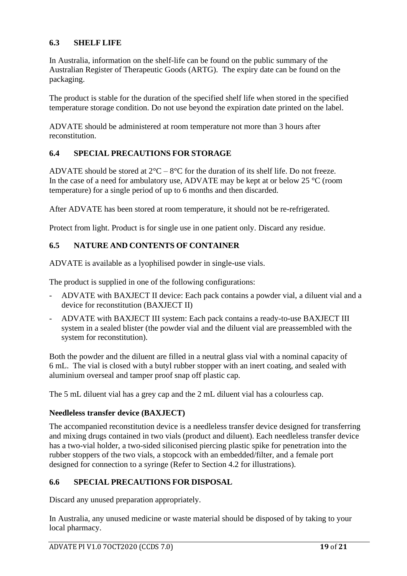## **6.3 SHELF LIFE**

In Australia, information on the shelf-life can be found on the public summary of the Australian Register of Therapeutic Goods (ARTG). The expiry date can be found on the packaging.

The product is stable for the duration of the specified shelf life when stored in the specified temperature storage condition. Do not use beyond the expiration date printed on the label.

ADVATE should be administered at room temperature not more than 3 hours after reconstitution.

### **6.4 SPECIAL PRECAUTIONS FOR STORAGE**

ADVATE should be stored at  $2^{\circ}C - 8^{\circ}C$  for the duration of its shelf life. Do not freeze. In the case of a need for ambulatory use, ADVATE may be kept at or below 25 °C (room temperature) for a single period of up to 6 months and then discarded.

After ADVATE has been stored at room temperature, it should not be re-refrigerated.

Protect from light. Product is for single use in one patient only. Discard any residue.

### **6.5 NATURE AND CONTENTS OF CONTAINER**

ADVATE is available as a lyophilised powder in single-use vials.

The product is supplied in one of the following configurations:

- ADVATE with BAXJECT II device: Each pack contains a powder vial, a diluent vial and a device for reconstitution (BAXJECT II)
- ADVATE with BAXJECT III system: Each pack contains a ready-to-use BAXJECT III system in a sealed blister (the powder vial and the diluent vial are preassembled with the system for reconstitution).

Both the powder and the diluent are filled in a neutral glass vial with a nominal capacity of 6 mL. The vial is closed with a butyl rubber stopper with an inert coating, and sealed with aluminium overseal and tamper proof snap off plastic cap.

The 5 mL diluent vial has a grey cap and the 2 mL diluent vial has a colourless cap.

#### **Needleless transfer device (BAXJECT)**

The accompanied reconstitution device is a needleless transfer device designed for transferring and mixing drugs contained in two vials (product and diluent). Each needleless transfer device has a two-vial holder, a two-sided siliconised piercing plastic spike for penetration into the rubber stoppers of the two vials, a stopcock with an embedded/filter, and a female port designed for connection to a syringe (Refer to Section 4.2 for illustrations).

#### **6.6 SPECIAL PRECAUTIONS FOR DISPOSAL**

Discard any unused preparation appropriately.

In Australia, any unused medicine or waste material should be disposed of by taking to your local pharmacy.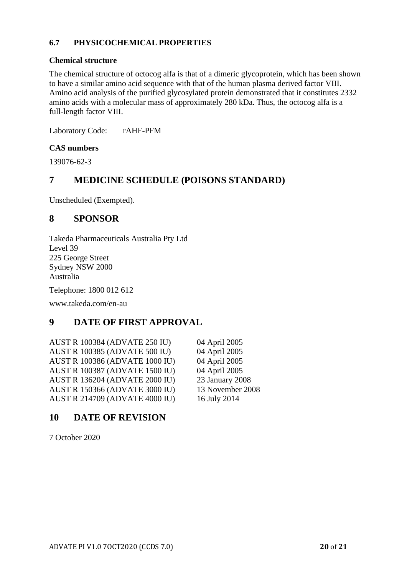### **6.7 PHYSICOCHEMICAL PROPERTIES**

#### **Chemical structure**

The chemical structure of octocog alfa is that of a dimeric glycoprotein, which has been shown to have a similar amino acid sequence with that of the human plasma derived factor VIII. Amino acid analysis of the purified glycosylated protein demonstrated that it constitutes 2332 amino acids with a molecular mass of approximately 280 kDa. Thus, the octocog alfa is a full-length factor VIII.

Laboratory Code: rAHF-PFM

### **CAS numbers**

139076-62-3

## **7 MEDICINE SCHEDULE (POISONS STANDARD)**

Unscheduled (Exempted).

## **8 SPONSOR**

Takeda Pharmaceuticals Australia Pty Ltd Level 39 225 George Street Sydney NSW 2000 Australia

Telephone: 1800 012 612

www.takeda.com/en-au

## **9 DATE OF FIRST APPROVAL**

AUST R 100384 (ADVATE 250 IU) 04 April 2005 AUST R 100385 (ADVATE 500 IU) 04 April 2005 AUST R 100386 (ADVATE 1000 IU) 04 April 2005 AUST R 100387 (ADVATE 1500 IU) 04 April 2005 AUST R 136204 (ADVATE 2000 IU) 23 January 2008 AUST R 150366 (ADVATE 3000 IU) 13 November 2008 AUST R 214709 (ADVATE 4000 IU) 16 July 2014

## **10 DATE OF REVISION**

7 October 2020